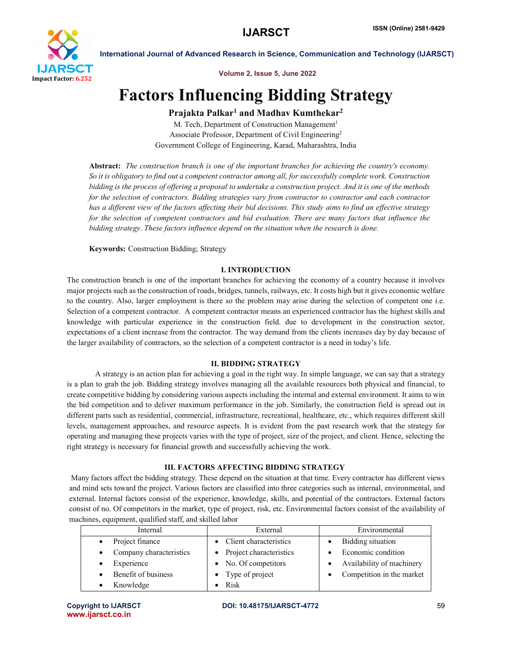

International Journal of Advanced Research in Science, Communication and Technology (IJARSCT)

Volume 2, Issue 5, June 2022

# Factors Influencing Bidding Strategy

## Prajakta Palkar<sup>1</sup> and Madhav Kumthekar<sup>2</sup>

M. Tech, Department of Construction Management<sup>1</sup> Associate Professor, Department of Civil Engineering2 Government College of Engineering, Karad, Maharashtra, India

Abstract: *The construction branch is one of the important branches for achieving the country's economy. So it is obligatory to find out a competent contractor among all, for successfully complete work. Construction bidding is the process of offering a proposal to undertake a construction project. And it is one of the methods for the selection of contractors. Bidding strategies vary from contractor to contractor and each contractor has a different view of the factors affecting their bid decisions. This study aims to find an effective strategy for the selection of competent contractors and bid evaluation. There are many factors that influence the bidding strategy. These factors influence depend on the situation when the research is done.*

Keywords: Construction Bidding; Strategy

## I. INTRODUCTION

The construction branch is one of the important branches for achieving the economy of a country because it involves major projects such as the construction of roads, bridges, tunnels, railways, etc. It costs high but it gives economic welfare to the country. Also, larger employment is there so the problem may arise during the selection of competent one i.e. Selection of a competent contractor. A competent contractor means an experienced contractor has the highest skills and knowledge with particular experience in the construction field. due to development in the construction sector, expectations of a client increase from the contractor. The way demand from the clients increases day by day because of the larger availability of contractors, so the selection of a competent contractor is a need in today's life.

### II. BIDDING STRATEGY

A strategy is an action plan for achieving a goal in the right way. In simple language, we can say that a strategy is a plan to grab the job. Bidding strategy involves managing all the available resources both physical and financial, to create competitive bidding by considering various aspects including the internal and external environment. It aims to win the bid competition and to deliver maximum performance in the job. Similarly, the construction field is spread out in different parts such as residential, commercial, infrastructure, recreational, healthcare, etc., which requires different skill levels, management approaches, and resource aspects. It is evident from the past research work that the strategy for operating and managing these projects varies with the type of project, size of the project, and client. Hence, selecting the right strategy is necessary for financial growth and successfully achieving the work.

## III. FACTORS AFFECTING BIDDING STRATEGY

Many factors affect the bidding strategy. These depend on the situation at that time. Every contractor has different views and mind sets toward the project. Various factors are classified into three categories such as internal, environmental, and external. Internal factors consist of the experience, knowledge, skills, and potential of the contractors. External factors consist of no. Of competitors in the market, type of project, risk, etc. Environmental factors consist of the availability of machines, equipment, qualified staff, and skilled labor

| Internal                | External                  | Environmental             |
|-------------------------|---------------------------|---------------------------|
| Project finance         | • Client characteristics  | <b>Bidding</b> situation  |
| Company characteristics | • Project characteristics | Economic condition        |
| Experience              | • No. Of competitors      | Availability of machinery |
| Benefit of business     | Type of project           | Competition in the market |
| Knowledge               | Risk                      |                           |

www.ijarsct.co.in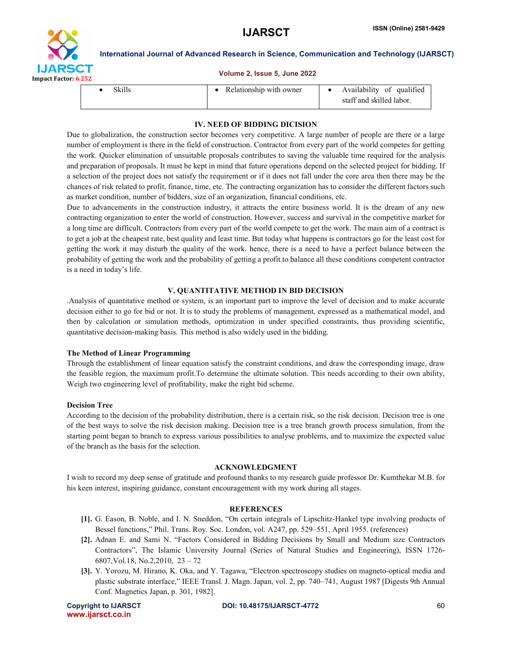



International Journal of Advanced Research in Science, Communication and Technology (IJARSCT)

#### Volume 2, Issue 5, June 2022

| Skills | Relationship with owner | Availability of qualified<br>staff and skilled labor. |
|--------|-------------------------|-------------------------------------------------------|
|--------|-------------------------|-------------------------------------------------------|

#### IV. NEED OF BIDDING DICISION

Due to globalization, the construction sector becomes very competitive. A large number of people are there or a large number of employment is there in the field of construction. Contractor from every part of the world competes for getting the work. Quicker elimination of unsuitable proposals contributes to saving the valuable time required for the analysis and preparation of proposals. It must be kept in mind that future operations depend on the selected project for bidding. If a selection of the project does not satisfy the requirement or if it does not fall under the core area then there may be the chances of risk related to profit, finance, time, etc. The contracting organization has to consider the different factors such as market condition, number of bidders, size of an organization, financial conditions, etc.

Due to advancements in the construction industry, it attracts the entire business world. It is the dream of any new contracting organization to enter the world of construction. However, success and survival in the competitive market for a long time are difficult. Contractors from every part of the world compete to get the work. The main aim of a contract is to get a job at the cheapest rate, best quality and least time. But today what happens is contractors go for the least cost for getting the work it may disturb the quality of the work. hence, there is a need to have a perfect balance between the probability of getting the work and the probability of getting a profit.to balance all these conditions competent contractor is a need in today's life.

#### V. QUANTITATIVE METHOD IN BID DECISION

.Analysis of quantitative method or system, is an important part to improve the level of decision and to make accurate decision either to go for bid or not. It is to study the problems of management, expressed as a mathematical model, and then by calculation or simulation methods, optimization in under specified constraints, thus providing scientific, quantitative decision-making basis. This method is also widely used in the bidding.

#### The Method of Linear Programming

Through the establishment of linear equation satisfy the constraint conditions, and draw the corresponding image, draw the feasible region, the maximum profit.To determine the ultimate solution. This needs according to their own ability, Weigh two engineering level of profitability, make the right bid scheme.

#### Decision Tree

According to the decision of the probability distribution, there is a certain risk, so the risk decision. Decision tree is one of the best ways to solve the risk decision making. Decision tree is a tree branch growth process simulation, from the starting point began to branch to express various possibilities to analyse problems, and to maximize the expected value of the branch as the basis for the selection.

#### ACKNOWLEDGMENT

I wish to record my deep sense of gratitude and profound thanks to my research guide professor Dr. Kumthekar M.B. for his keen interest, inspiring guidance, constant encouragement with my work during all stages.

#### **REFERENCES**

- [1]. G. Eason, B. Noble, and I. N. Sneddon, "On certain integrals of Lipschitz-Hankel type involving products of Bessel functions," Phil. Trans. Roy. Soc. London, vol. A247, pp. 529–551, April 1955. (references)
- [2]. Adnan E. and Sami N. "Factors Considered in Bidding Decisions by Small and Medium size Contractors Contractors", The Islamic University Journal (Series of Natural Studies and Engineering), ISSN 1726- 6807,Vol.18, No.2,2010, 23 – 72
- [3]. Y. Yorozu, M. Hirano, K. Oka, and Y. Tagawa, "Electron spectroscopy studies on magneto-optical media and plastic substrate interface," IEEE Transl. J. Magn. Japan, vol. 2, pp. 740–741, August 1987 [Digests 9th Annual Conf. Magnetics Japan, p. 301, 1982].

www.ijarsct.co.in